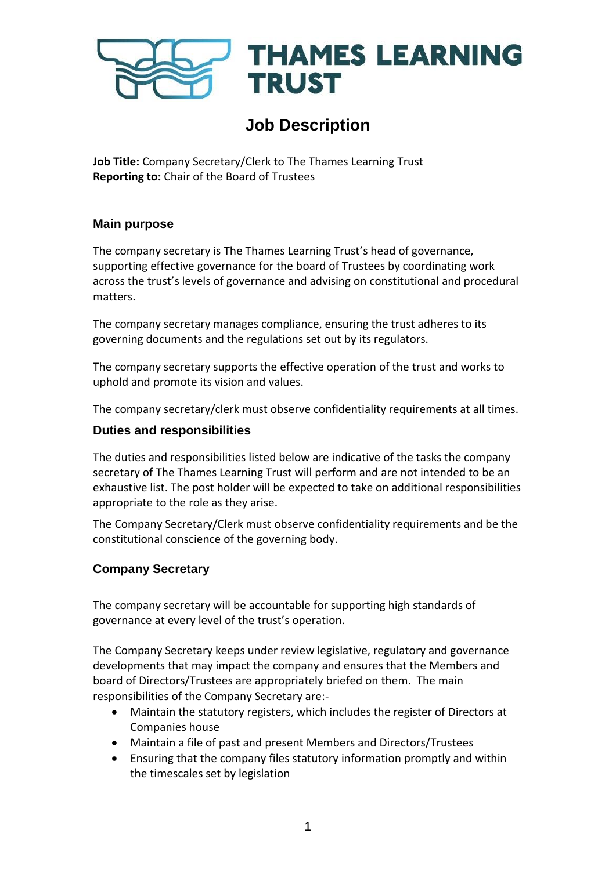

# **Job Description**

**Job Title:** Company Secretary/Clerk to The Thames Learning Trust **Reporting to:** Chair of the Board of Trustees

#### **Main purpose**

The company secretary is The Thames Learning Trust's head of governance, supporting effective governance for the board of Trustees by coordinating work across the trust's levels of governance and advising on constitutional and procedural matters.

The company secretary manages compliance, ensuring the trust adheres to its governing documents and the regulations set out by its regulators.

The company secretary supports the effective operation of the trust and works to uphold and promote its vision and values.

The company secretary/clerk must observe confidentiality requirements at all times.

#### **Duties and responsibilities**

The duties and responsibilities listed below are indicative of the tasks the company secretary of The Thames Learning Trust will perform and are not intended to be an exhaustive list. The post holder will be expected to take on additional responsibilities appropriate to the role as they arise.

The Company Secretary/Clerk must observe confidentiality requirements and be the constitutional conscience of the governing body.

### **Company Secretary**

The company secretary will be accountable for supporting high standards of governance at every level of the trust's operation.

The Company Secretary keeps under review legislative, regulatory and governance developments that may impact the company and ensures that the Members and board of Directors/Trustees are appropriately briefed on them. The main responsibilities of the Company Secretary are:-

- Maintain the statutory registers, which includes the register of Directors at Companies house
- Maintain a file of past and present Members and Directors/Trustees
- Ensuring that the company files statutory information promptly and within the timescales set by legislation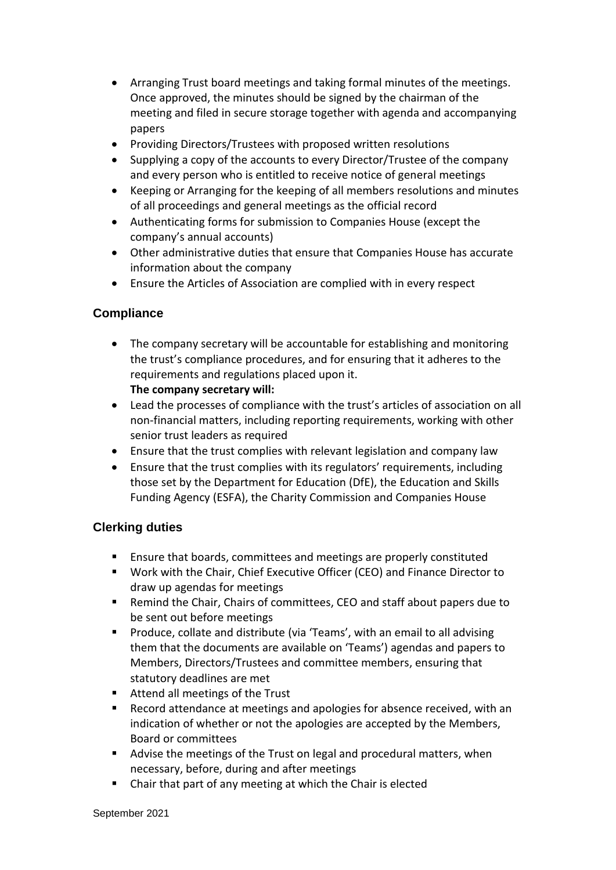- Arranging Trust board meetings and taking formal minutes of the meetings. Once approved, the minutes should be signed by the chairman of the meeting and filed in secure storage together with agenda and accompanying papers
- Providing Directors/Trustees with proposed written resolutions
- Supplying a copy of the accounts to every Director/Trustee of the company and every person who is entitled to receive notice of general meetings
- Keeping or Arranging for the keeping of all members resolutions and minutes of all proceedings and general meetings as the official record
- Authenticating forms for submission to Companies House (except the company's annual accounts)
- Other administrative duties that ensure that Companies House has accurate information about the company
- Ensure the Articles of Association are complied with in every respect

#### **Compliance**

- The company secretary will be accountable for establishing and monitoring the trust's compliance procedures, and for ensuring that it adheres to the requirements and regulations placed upon it. **The company secretary will:**
- Lead the processes of compliance with the trust's articles of association on all non-financial matters, including reporting requirements, working with other senior trust leaders as required
- Ensure that the trust complies with relevant legislation and company law
- Ensure that the trust complies with its regulators' requirements, including those set by the Department for Education (DfE), the Education and Skills Funding Agency (ESFA), the Charity Commission and Companies House

#### **Clerking duties**

- Ensure that boards, committees and meetings are properly constituted
- Work with the Chair, Chief Executive Officer (CEO) and Finance Director to draw up agendas for meetings
- Remind the Chair, Chairs of committees, CEO and staff about papers due to be sent out before meetings
- **Produce, collate and distribute (via 'Teams', with an email to all advising 4** them that the documents are available on 'Teams') agendas and papers to Members, Directors/Trustees and committee members, ensuring that statutory deadlines are met
- Attend all meetings of the Trust
- Record attendance at meetings and apologies for absence received, with an indication of whether or not the apologies are accepted by the Members, Board or committees
- Advise the meetings of the Trust on legal and procedural matters, when necessary, before, during and after meetings
- Chair that part of any meeting at which the Chair is elected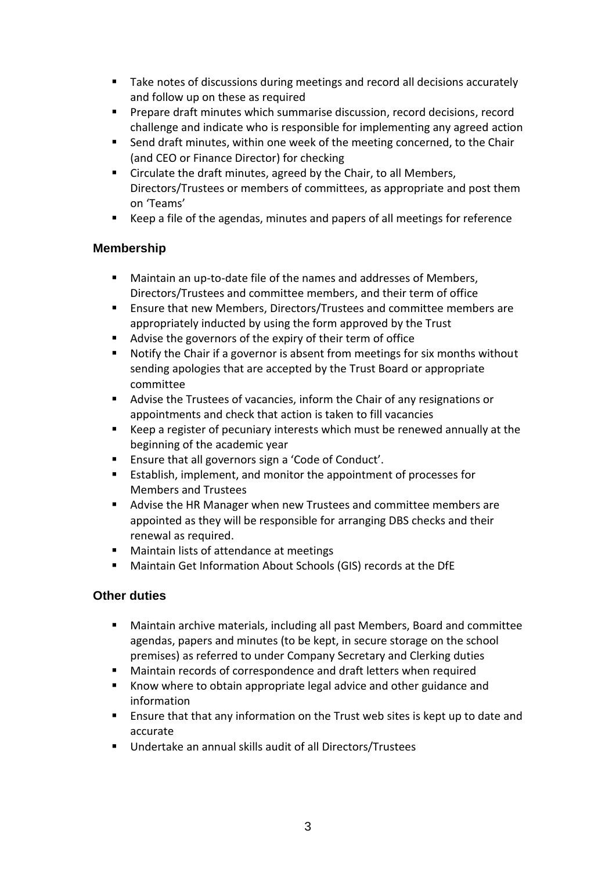- Take notes of discussions during meetings and record all decisions accurately and follow up on these as required
- Prepare draft minutes which summarise discussion, record decisions, record challenge and indicate who is responsible for implementing any agreed action
- Send draft minutes, within one week of the meeting concerned, to the Chair (and CEO or Finance Director) for checking
- Circulate the draft minutes, agreed by the Chair, to all Members, Directors/Trustees or members of committees, as appropriate and post them on 'Teams'
- Keep a file of the agendas, minutes and papers of all meetings for reference

### **Membership**

- Maintain an up-to-date file of the names and addresses of Members, Directors/Trustees and committee members, and their term of office
- Ensure that new Members, Directors/Trustees and committee members are appropriately inducted by using the form approved by the Trust
- Advise the governors of the expiry of their term of office
- Notify the Chair if a governor is absent from meetings for six months without sending apologies that are accepted by the Trust Board or appropriate committee
- Advise the Trustees of vacancies, inform the Chair of any resignations or appointments and check that action is taken to fill vacancies
- Keep a register of pecuniary interests which must be renewed annually at the beginning of the academic year
- Ensure that all governors sign a 'Code of Conduct'.
- Establish, implement, and monitor the appointment of processes for Members and Trustees
- Advise the HR Manager when new Trustees and committee members are appointed as they will be responsible for arranging DBS checks and their renewal as required.
- Maintain lists of attendance at meetings
- Maintain Get Information About Schools (GIS) records at the DfE

## **Other duties**

- Maintain archive materials, including all past Members, Board and committee agendas, papers and minutes (to be kept, in secure storage on the school premises) as referred to under Company Secretary and Clerking duties
- Maintain records of correspondence and draft letters when required
- **Know where to obtain appropriate legal advice and other guidance and** information
- **Ensure that that any information on the Trust web sites is kept up to date and** accurate
- Undertake an annual skills audit of all Directors/Trustees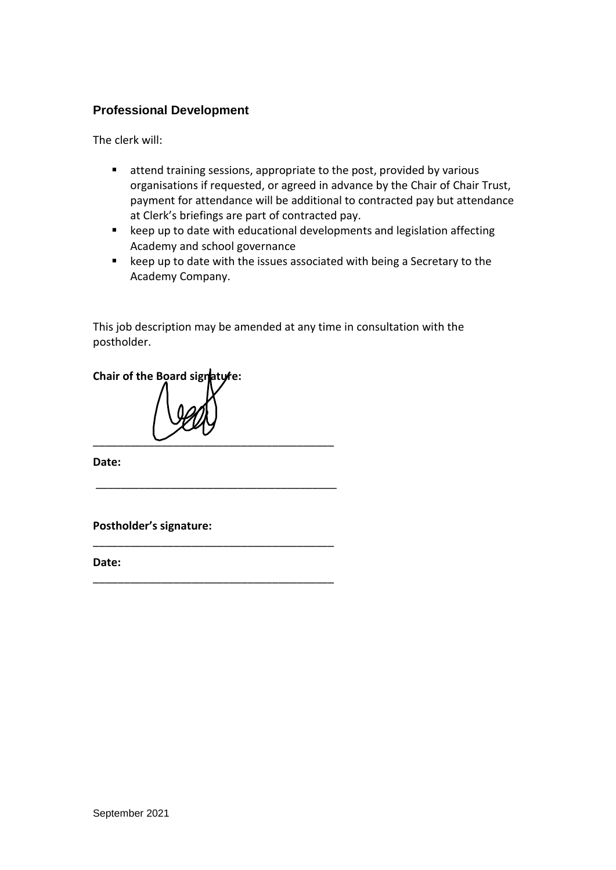#### **Professional Development**

The clerk will:

- attend training sessions, appropriate to the post, provided by various organisations if requested, or agreed in advance by the Chair of Chair Trust, payment for attendance will be additional to contracted pay but attendance at Clerk's briefings are part of contracted pay.
- keep up to date with educational developments and legislation affecting Academy and school governance
- keep up to date with the issues associated with being a Secretary to the Academy Company.

This job description may be amended at any time in consultation with the postholder.

**Chair of the Board signature:**  $\overline{\phantom{a}}$  ,  $\overline{\phantom{a}}$  ,  $\overline{\phantom{a}}$  ,  $\overline{\phantom{a}}$  ,  $\overline{\phantom{a}}$  ,  $\overline{\phantom{a}}$  ,  $\overline{\phantom{a}}$  ,  $\overline{\phantom{a}}$  ,  $\overline{\phantom{a}}$  ,  $\overline{\phantom{a}}$  ,  $\overline{\phantom{a}}$  ,  $\overline{\phantom{a}}$  ,  $\overline{\phantom{a}}$  ,  $\overline{\phantom{a}}$  ,  $\overline{\phantom{a}}$  ,  $\overline{\phantom{a}}$ 

\_\_\_\_\_\_\_\_\_\_\_\_\_\_\_\_\_\_\_\_\_\_\_\_\_\_\_\_\_\_\_\_\_\_\_\_\_\_\_

\_\_\_\_\_\_\_\_\_\_\_\_\_\_\_\_\_\_\_\_\_\_\_\_\_\_\_\_\_\_\_\_\_\_\_\_\_\_\_

\_\_\_\_\_\_\_\_\_\_\_\_\_\_\_\_\_\_\_\_\_\_\_\_\_\_\_\_\_\_\_\_\_\_\_\_\_\_\_

**Date:**

**Postholder's signature:**

**Date:**